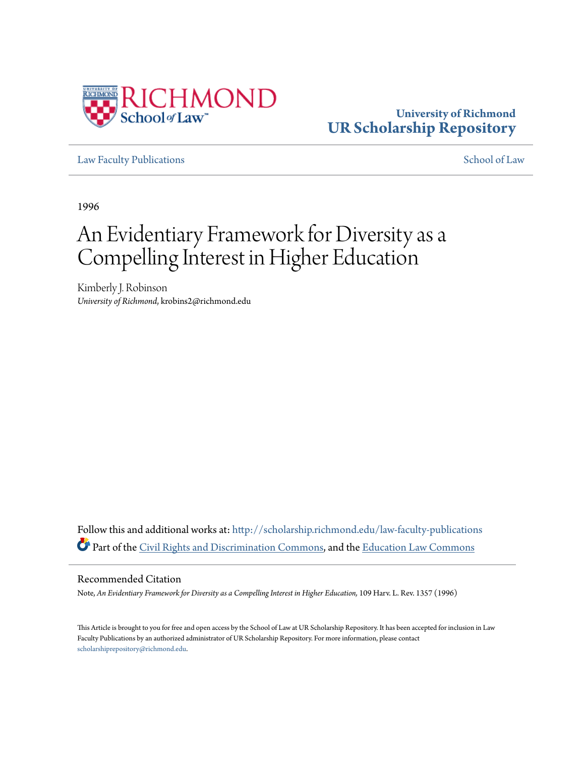

# **University of Richmond [UR Scholarship Repository](http://scholarship.richmond.edu?utm_source=scholarship.richmond.edu%2Flaw-faculty-publications%2F523&utm_medium=PDF&utm_campaign=PDFCoverPages)**

[Law Faculty Publications](http://scholarship.richmond.edu/law-faculty-publications?utm_source=scholarship.richmond.edu%2Flaw-faculty-publications%2F523&utm_medium=PDF&utm_campaign=PDFCoverPages) [School of Law](http://scholarship.richmond.edu/law?utm_source=scholarship.richmond.edu%2Flaw-faculty-publications%2F523&utm_medium=PDF&utm_campaign=PDFCoverPages)

1996

# An Evidentiary Framework for Diversity as a Compelling Interest in Higher Education

Kimberly J. Robinson *University of Richmond*, krobins2@richmond.edu

Follow this and additional works at: [http://scholarship.richmond.edu/law-faculty-publications](http://scholarship.richmond.edu/law-faculty-publications?utm_source=scholarship.richmond.edu%2Flaw-faculty-publications%2F523&utm_medium=PDF&utm_campaign=PDFCoverPages) Part of the [Civil Rights and Discrimination Commons,](http://network.bepress.com/hgg/discipline/585?utm_source=scholarship.richmond.edu%2Flaw-faculty-publications%2F523&utm_medium=PDF&utm_campaign=PDFCoverPages) and the [Education Law Commons](http://network.bepress.com/hgg/discipline/596?utm_source=scholarship.richmond.edu%2Flaw-faculty-publications%2F523&utm_medium=PDF&utm_campaign=PDFCoverPages)

# Recommended Citation

Note, *An Evidentiary Framework for Diversity as a Compelling Interest in Higher Education,* 109 Harv. L. Rev. 1357 (1996)

This Article is brought to you for free and open access by the School of Law at UR Scholarship Repository. It has been accepted for inclusion in Law Faculty Publications by an authorized administrator of UR Scholarship Repository. For more information, please contact [scholarshiprepository@richmond.edu.](mailto:scholarshiprepository@richmond.edu)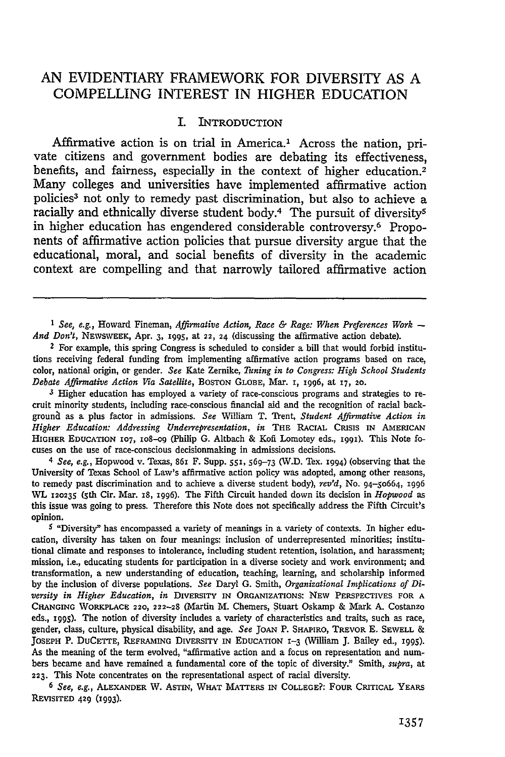# AN EVIDENTIARY FRAMEWORK FOR DIVERSITY AS A COMPELLING INTEREST IN HIGHER EDUCATION

#### I. INTRODUCTION

Affirmative action is on trial in America.<sup>1</sup> Across the nation, private citizens and government bodies are debating its effectiveness, benefits, and fairness, especially in the context of higher education.<sup>2</sup> Many colleges and universities have implemented affirmative action policies3 not only to remedy past discrimination, but also to achieve a racially and ethnically diverse student body.4 The pursuit of diversitys in higher education has engendered considerable controversy.6 Proponents of affirmative action policies that pursue diversity argue that the educational, moral, and social benefits of diversity in the academic context are compelling and that narrowly tailored affirmative action

1 *See, e.g.,* Howard Fineman, *Affirmative Action, Race* & *Rage: When Preferences Work* - And Don't, NEWSWEEK, Apr. 3, 1995, at 22, 24 (discussing the affirmative action debate).

2 For example, this spring Congress is scheduled to consider a bill that would forbid institutions receiving federal funding from implementing affirmative action programs based on race, color, national origin, or gender. *See* Kate Zernike, *Tuning in to Congress: High School Students Debate Affirmative Action Via Satellite,* BOSTON GLOBE, Mar. r, 1996, at 17, 20.

3 Higher education has employed a variety of race-conscious programs and strategies to recruit minority students, including race-conscious financial aid and the recognition of racial background as a plus factor in admissions. See William T. Trent, *Student Affirmative Action in Higher Education: Addressing Underrepresentation,* in THE RACIAL CRISIS IN AMERICAN HIGHER EDUCATION 107, 108-09 (Philip G. Altbach & Kofi Lomotey eds., 1991). This Note focuses on the use of race-conscious decisionmaking in admissions decisions.

4 *See, e.g.,* Hopwood v. Texas, 861 F. Supp. 55r, 569-73 (W.D. Tex. 1994) (observing that the University of Texas School of Law's affirmative action policy was adopted, among other reasons, to remedy past discrimination and to achieve a diverse student body), *rev'd,* No. 94-50664, 1996 WL 120235 (5th Cir. Mar. 18, 1996). The Fifth Circuit handed down its decision in *Hopwood* as this issue was going to press. Therefore this Note does not specifically address the Fifth Circuit's opinion.

*5* "Diversity'' has encompassed a variety of meanings in a variety of contexts. In higher education, diversity has taken on four meanings: inclusion of underrepresented minorities; institutional climate and responses to intolerance, including student retention, isolation, and harassment; mission, i.e., educating students for participation in a diverse society and work environment; and transformation, a new understanding of education, teaching, learning, and scholarship informed by the inclusion of diverse populations. *See* Daryl G. Smith, *Organizational Implications of* Di*versity in Higher Education, in* DIVERSITY IN ORGANIZATIONS: NEW PERSPECTIVES FOR A CHANGING WORKPLACE 220, 222-28 (Martin M. Chemers, Stuart Oskamp & Mark A. Costanzo eds., 1995). The notion of diversity includes a variety of characteristics and traits, such as race, gender, class, culture, physical disability, and age. *See* JOAN P. SHAPIRO, TREVOR E. SEWELL & JOSEPH P. DuCETTE, REFRAMING DIVERSITY IN EDUCATION 1-3 (William J. Bailey ed., !995). As the meaning of the term evolved, "affirmative action and a focus on representation and numbers became and have remained a fundamental core of the topic of diversity." Smith, *supra,* at 223. This Note concentrates on the representational aspect of racial diversity.

6 *See, e.g.,* ALEXANDER W. ASTIN, WHAT MATTERS IN COLLEGE?: FOUR CRITICAL YEARS REVISITED 429 (1993).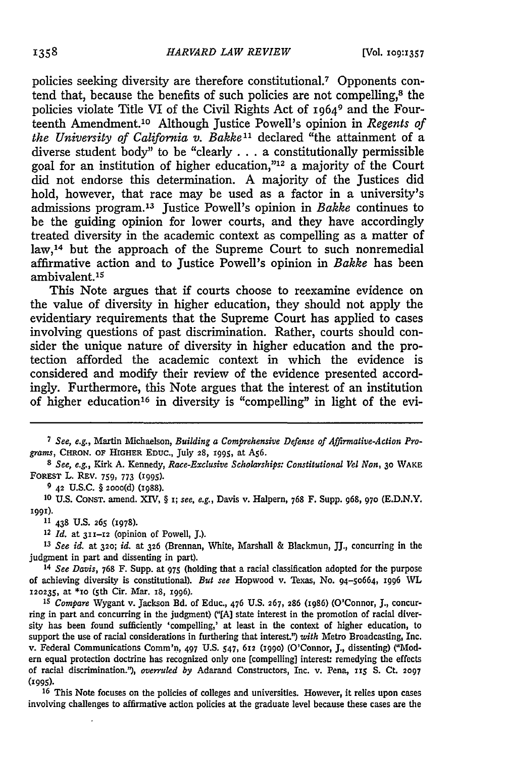policies seeking diversity are therefore constitutional.<sup>7</sup> Opponents contend that, because the benefits of such policies are not compelling,<sup>8</sup> the policies violate Title VI of the Civil Rights Act of 19649 and the Fourteenth Amendment.10 Although Justice Powell's opinion in *Regents of the University of California v. Bakke*<sup>11</sup> declared "the attainment of a diverse student body" to be "clearly . . . a constitutionally permissible goal for an institution of higher education,"12 a majority of the Court did not endorse this determination. A majority of the Justices did hold, however, that race may be used as a factor in a university's admissions program.13 Justice Powell's opinion in *Bakke* continues to be the guiding opinion for lower courts, and they have accordingly treated diversity in the academic context as compelling as a matter of law.<sup>14</sup> but the approach of the Supreme Court to such nonremedial affirmative action and to Justice Powell's opinion in *Bakke* has been ambivalent.15

This Note argues that if courts choose to reexamine evidence on the value of diversity in higher education, they should not apply the evidentiary requirements that the Supreme Court has applied to cases involving questions of past discrimination. Rather, courts should consider the unique nature of diversity in higher education and the protection afforded the academic context in which the evidence is considered and modify their review of the evidence presented accordingly. Furthermore, this Note argues that the interest of an institution of higher education<sup>16</sup> in diversity is "compelling" in light of the evi-

7 *See, e.g.,* Martin Michaelson, *Building a Comprehensive Defense of Affirmative-Action Programs,* CHRON. OF HIGHER EDUC., July 28, 1995, at A56.

8 *See, e.g.,* Kirk A. Kennedy, *Race-Exclusive Scholarships: Constitutional Vel Non,* 30 WAKE FOREST L. REv. 759, 773 (1995).

9 42 U.S.C. § 2000(d) (1988).

10 U.S. CoNST. amend. XIV, § 1; *see, e.g.,* Davis v. Halpern, 768 F. Supp. 968, 970 (E.D.N.Y. 1991).

<sup>11</sup> 438 U.S. 265 (1978).<br><sup>12</sup> *Id.* at 311-12 (opinion of Powell, I.).

<sup>13</sup> See id. at 320; *id.* at 326 (Brennan, White, Marshall & Blackmun, JJ., concurring in the judgment in part and dissenting in part).

14 *See Davis,* 768 F. Supp. at 975 (holding that a racial classification adopted for the purpose of achieving diversity is constitutional). *But see* Hopwood v. Texas, No. 94-50664, 1996 WL 120235, at \*Io (sth Cir. Mar. 18, 1996).

15 *Compare* Wygant v. Jackson Bd. of Educ., 476 U.S. 267, 286 (1986) (O'Connor, J., concurring in part and concurring in the judgment) ("[A] state interest in the promotion of racial diversity has been found sufficiently 'compelling,' at least in the context of higher education, to support the use of racial considerations in furthering that interest.") with Metro Broadcasting, Inc. v. Federal Communications Comm'n, 497 U.S. 547, 612 (1990) (O'Connor, J., dissenting) ("Modern equal protection doctrine has recognized only one [compelling] interest: remedying the effects of racial discrimination."), *overruled by* Adarand Constructors, Inc. v. Pena, 115 S. Ct. 2097 (1995).

16 This Note focuses on the policies of colleges and universities. However, it relies upon cases involving challenges to affirmative action policies at the graduate level because these cases are the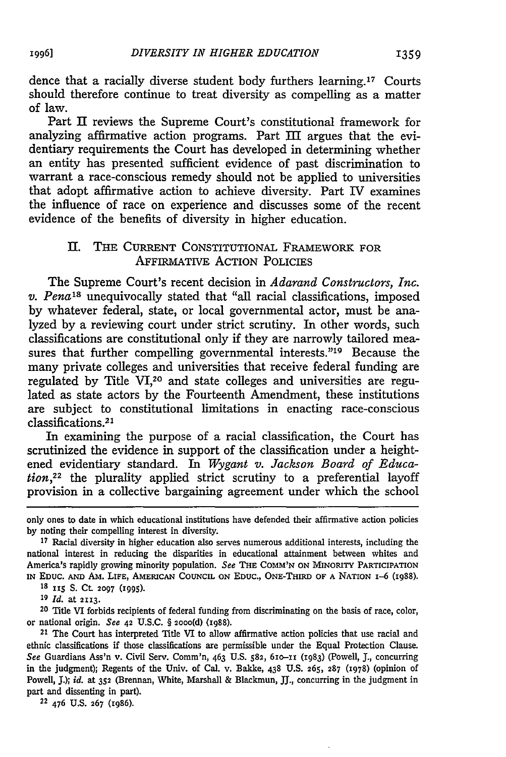dence that a racially diverse student body furthers learning.<sup>17</sup> Courts should therefore continue to treat diversity as compelling as a matter of law.

Part II reviews the Supreme Court's constitutional framework for analyzing affirmative action programs. Part  $III$  argues that the evidentiary requirements the Court has developed in determining whether an entity has presented sufficient evidence of past discrimination to warrant a race-conscious remedy should not be applied to universities that adopt affirmative action to achieve diversity. Part IV examines the influence of race on experience and discusses some of the recent evidence of the benefits of diversity in higher education.

#### II. THE CURRENT CONSTITUTIONAL FRAMEWORK FOR AFFIRMATIVE ACTION POLICIES

The Supreme Court's recent decision in *Adarand Constructors, Inc. v. Pena18* unequivocally stated that "all racial classifications, imposed by whatever federal, state, or local governmental actor, must be analyzed by a reviewing court under strict scrutiny. In other words, such classifications are constitutional only if they are narrowly tailored measures that further compelling governmental interests."<sup>19</sup> Because the many private colleges and universities that receive federal funding are regulated by Title VI,20 and state colleges and universities are regulated as state actors by the Fourteenth Amendment, these institutions are subject to constitutional limitations in enacting race-conscious classifications. 21

In examining the purpose of a racial classification, the Court has scrutinized the evidence in support of the classification under a heightened evidentiary standard. In *Wygant v. Jackson Board of Education,22* the plurality applied strict scrutiny to a preferential layoff provision in a collective bargaining agreement under which the school

22 476 U.S. 267 (1986).

only ones to date in which educational institutions have defended their affirmative action policies by noting their compelling interest in diversity.

<sup>17</sup> Racial diversity in higher education also serves numerous additional interests, including the national interest in reducing the disparities in educational attainment between whites and America's rapidly growing minority population. *See* THE COMM'N ON MINORITY PARTICIPATION IN EDUC. AND AM. LIFE, AMERICAN COUNCIL ON EDUC., ONE-THIRD OF A NATION 1-6 (1988).

<sup>18 115</sup> S. Ct. 2097 (1995).

<sup>19</sup> *ld.* at 2113.

<sup>20</sup> Title VI forbids recipients of federal funding from discriminating on the basis of race, color, or national origin. *See* 42 U.S.C. § 2ooo(d) (1988).

<sup>21</sup> The Court has interpreted Title VI to allow affirmative action policies that use racial and ethnic classifications if those classifications are permissible under the Equal Protection Clause. See Guardians Ass'n v. Civil Serv. Comm'n, 463 U.S. 582, 610-11 (1983) (Powell, J., concurring in the judgment); Regents of the Univ. of Cal. v. Bakke, 438 U.S. 265, 287 (1978) (opinion of Powell, J.); id. at 352 (Brennan, White, Marshall & Blackmun, ]J., concurring in the judgment in part and dissenting in part).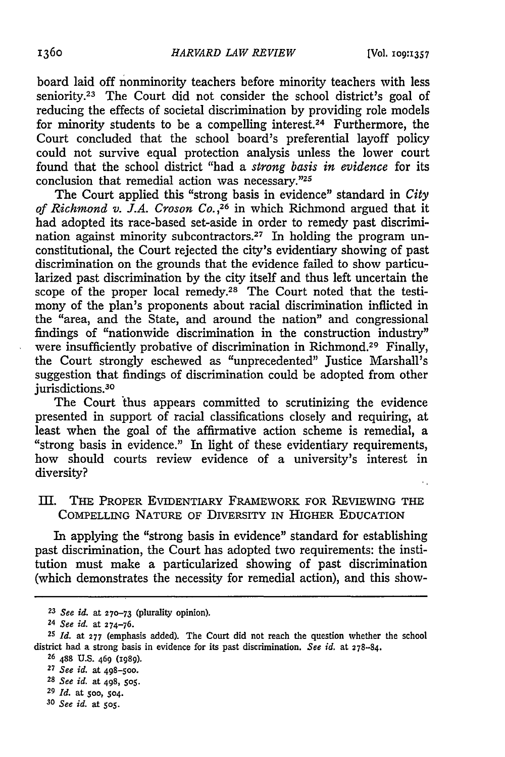board laid off nonminority teachers before minority teachers with less seniority.<sup>23</sup> The Court did not consider the school district's goal of reducing the effects of societal discrimination by providing role models for minority students to be a compelling interest.<sup>24</sup> Furthermore, the Court concluded that the school board's preferential layoff policy could not survive equal protection analysis unless the lower court found that the school district "had a *strong basis in evidence* for its conclusion that remedial action was necessary."25

The Court applied this "strong basis in evidence" standard in *City of Richmond v. J.A. Croson Co.,26* in which Richmond argued that it had adopted its race-based set-aside in order to remedy past discrimination against minority subcontractors.<sup>27</sup> In holding the program unconstitutional, the Court rejected the city's evidentiary showing of past discrimination on the grounds that the evidence failed to show particularized past discrimination by the city itself and thus left uncertain the scope of the proper local remedy.28 The Court noted that the testimony of the plan's proponents about racial discrimination inflicted in the "area, and the State, and around the nation" and congressional findings of "nationwide discrimination in the construction industry" were insufficiently probative of discrimination in Richmond.<sup>29</sup> Finally, the Court strongly eschewed as "unprecedented" Justice Marshall's suggestion that findings of discrimination could be adopted from other jurisdictions.<sup>30</sup>

The Court thus appears committed to scrutinizing the evidence presented in support of racial classifications closely and requiring, at least when the goal of the affirmative action scheme is remedial, a "strong basis in evidence." In light of these evidentiary requirements, how should courts review evidence of a university's interest in diversity?

## III. THE PROPER EVIDENTIARY FRAMEWORK FOR REVIEWING THE COMPELLING NATURE OF DIVERSITY IN HIGHER EDUCATION

In applying the "strong basis in evidence" standard for establishing past discrimination, the Court has adopted two requirements: the institution must make a particularized showing of past discrimination (which demonstrates the necessity for remedial action), and this show-

<sup>&</sup>lt;sup>23</sup> See id. at 270-73 (plurality opinion).

<sup>24</sup> *See id.* at 2 74-76.

*<sup>25</sup> Id.* at 277 (emphasis added). The Court did not reach the question whether the school district had a strong basis in evidence for its past discrimination. *See id.* at 278-84.

<sup>26 488</sup> U.S. 469 (1989).

<sup>27</sup> *See id.* at 498-soo.

<sup>28</sup>*See id.* at 498, sos. 29 ld. at soo, 504. 30 *See id.* at sos.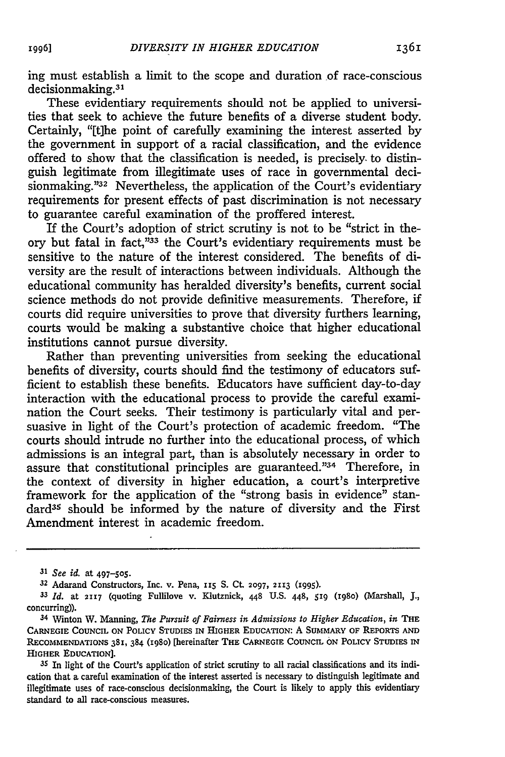ing must establish a limit to the scope and duration of race-conscious decisionmaking. 31

These evidentiary requirements should not be applied to universities that seek to achieve the future benefits of a diverse student body. Certainly, "[t]he point of carefully examining the interest asserted by the government in support of a racial classification, and the evidence offered to show that the classification is needed, is precisely. to distinguish legitimate from illegitimate uses of race in governmental decisionmaking."32 Nevertheless, the application of the Court's evidentiary requirements for present effects of past discrimination is not necessary to guarantee careful examination of the proffered interest.

If the Court's adoption of strict scrutiny is not to be "strict in theory but fatal in fact,<sup>33</sup> the Court's evidentiary requirements must be sensitive to the nature of the interest considered. The benefits of diversity are the result of interactions between individuals. Although the educational community has heralded diversity's benefits, current social science methods do not provide definitive measurements. Therefore, if courts did require universities to prove that diversity furthers learning, courts would be making a substantive choice that higher educational institutions cannot pursue diversity.

Rather than preventing universities from seeking the educational benefits of diversity, courts should find the testimony of educators sufficient to establish these benefits. Educators have sufficient day-to-day interaction with the educational process to provide the careful examination the Court seeks. Their testimony is particularly vital and persuasive in light of the Court's protection of academic freedom. "The courts should intrude no further into the educational process, of which admissions is an integral part, than is absolutely necessary in order to assure that constitutional principles are guaranteed."34 Therefore, in the context of diversity in higher education, a court's interpretive framework for the application of the "strong basis in evidence" standard<sup>35</sup> should be informed by the nature of diversity and the First Amendment interest in academic freedom.

<sup>3</sup>l *See id.* at 497-505.

<sup>32</sup> Adarand Constructors, Inc. v. Pena, II5 S. Ct 2097, 2II3 (1995).

*<sup>33</sup> Id.* at 2II7 (quoting Fullilove v. Klut2nick, 448 U.S. 448, 519 (1g8o) (Marshall, J., concurring)).

<sup>34</sup> Winton W. Manning, *The Pursuit of Fairness in Admissions to Higher Education, in* THE CARNEGIE COUNCIL ON POLICY STUDIES IN HIGHER EDUCATION: A SUMMARY OF REPORTS AND RECOMMENDATIONS 381, 384 (1980) [hereinafter THE CARNEGIE COUNCIL ON POLICY STUDIES IN HIGHER EDUCATION].

*<sup>35</sup>* In light of the Court's application of strict scrutiny to all racial classifications and its indication that a careful examination of the interest asserted is necessary to distinguish legitimate and illegitimate uses of race-conscious decisionmaking, the Court is likely to apply this evidentiary standard to all race-conscious measures.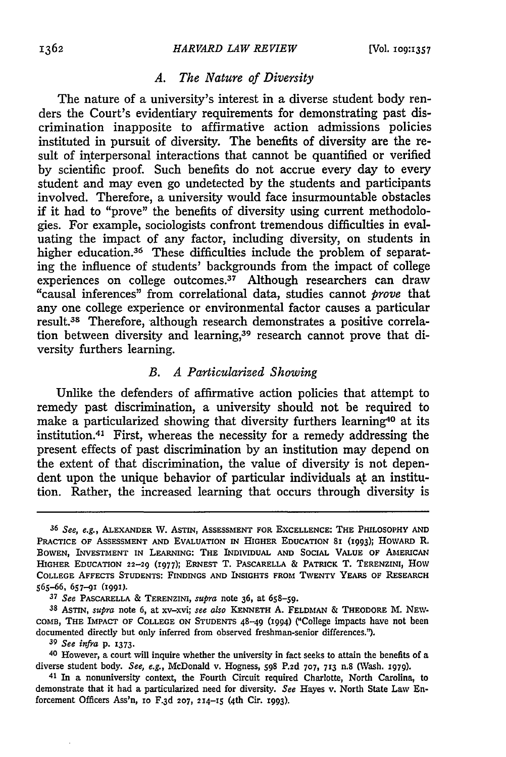#### *A. The Nature of Diversity*

The nature of a university's interest in a diverse student body renders the Court's evidentiary requirements for demonstrating past discrimination inapposite to affirmative action admissions policies instituted in pursuit of diversity. The benefits of diversity are the result of interpersonal interactions that cannot be quantified or verified by scientific proof. Such benefits do not accrue every day to every student and may even go undetected by the students and participants involved. Therefore, a university would face insurmountable obstacles if it had to "prove" the benefits of diversity using current methodologies. For example, sociologists confront tremendous difficulties in evaluating the impact of any factor, including diversity, on students in higher education.<sup>36</sup> These difficulties include the problem of separating the influence of students' backgrounds from the impact of college experiences on college outcomes.<sup>37</sup> Although researchers can draw "causal inferences" from correlational data, studies cannot *prove* that any one college experience or environmental factor causes a particular result.38 Therefore, although research demonstrates a positive correlation between diversity and learning,39 research cannot prove that diversity furthers learning.

#### *B. A Particularized Showing*

Unlike the defenders of affirmative action policies that attempt to remedy past discrimination, a university should not be required to make a particularized showing that diversity furthers learning<sup>40</sup> at its institution.41 First, whereas the necessity for a remedy addressing the present effects of past discrimination by an institution may depend on the extent of that discrimination, the value of diversity is not dependent upon the unique behavior of particular individuals a\_t an institution. Rather, the increased learning that occurs through diversity is

38 AsTIN, *supra* note 6, at xv-xvi; *see also* KENNETH A. FELDMAN & THEODORE M. NEW· COMB, THE IMPACT OF COLLEGE ON STUDENTS 48-49 (1994) ("College impacts have not been documented directly but only inferred from observed freshman-senior differences.").

39 *See infra* p. 1373.

<sup>36</sup> *See, e.g.,* ALEXANDER \V. AsTIN, ASSESSMENT FOR EXCELLENCE: THE PHILOSOPHY AND PRACTICE OF AsSESSMENT AND EVALUATION IN HIGHER EDUCATION 81 (1993); HOWARD R. BOWEN, INvESTMENT IN LEARNING: THE INDIVIDUAL AND SOCIAL VALUE OF AMERICAN HIGHER EDUCATION 22-29 (1977); ERNEST T. PASCARELLA & PATRICK T. TERENZINI, HOW COLLEGE AFFECTS STUDENTS: FINDINGS AND INSIGHTS FROM TWENTY YEARS OF RESEARCH 565-66, 657-91 (1991).

<sup>37</sup> *See* PASCARELLA & TERENZINI, *supra* note 36, at 658-59.

<sup>40</sup> However, a court will inquire whether the university in fact seeks to attain the benefits of a diverse student body. *See, e.g.,* McDonald v. Hogness, 598 P.2d 707, 713 n.8 (Wash. 1979).

<sup>41</sup> In a nonuniversity context, the Fourth Circuit required Charlotte, North Carolina, to demonstrate that it had a particularized need for diversity. *See* Hayes v. North State Law Enforcement Officers Ass'n, 10 F.3d 207, 214-15 (4th Cir. 1993).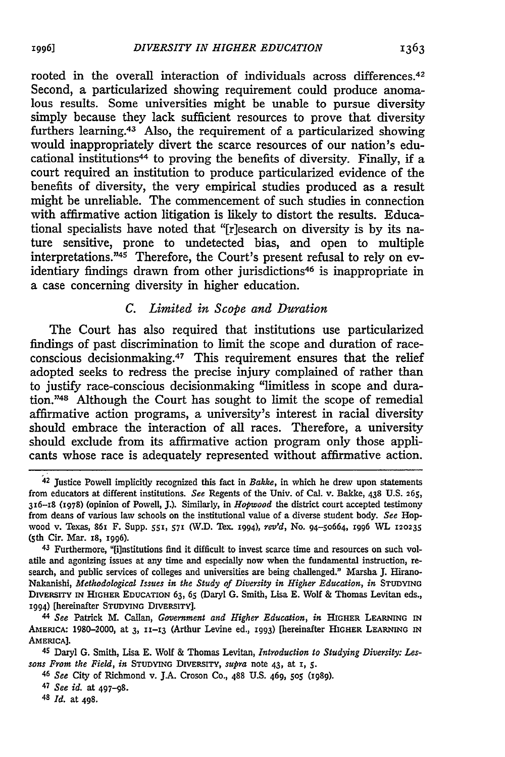rooted in the overall interaction of individuals across differences.<sup>42</sup> Second, a particularized showing requirement could produce anomalous results. Some universities might be unable to pursue diversity simply because they lack sufficient resources to prove that diversity furthers learning.43 Also, the requirement of a particularized showing would inappropriately divert the scarce resources of our nation's educational institutions<sup>44</sup> to proving the benefits of diversity. Finally, if a court required an institution to produce particularized evidence of the benefits of diversity, the very empirical studies produced as a result might be unreliable. The commencement of such studies in connection with affirmative action litigation is likely to distort the results. Educational specialists have noted that "[r]esearch on diversity is by its nature sensitive, prone to undetected bias, and open to multiple interpretations."45 Therefore, the Court's present refusal to rely on evidentiary findings drawn from other jurisdictions<sup>46</sup> is inappropriate in a case concerning diversity in higher education.

#### *C. Limited in Scope and Duration*

The Court has also required that institutions use particularized findings of past discrimination to limit the scope and duration of raceconscious decisionmaking.47 This requirement ensures that the relief adopted seeks to redress the precise injury complained of rather than to justify race-conscious decisionmaking "limitless in scope and duration."48 Although the Court has sought to limit the scope of remedial affirmative action programs, a university's interest in racial diversity should embrace the interaction of all races. Therefore, a university should exclude from its affirmative action program only those applicants whose race is adequately represented without affirmative action.

48 *ld.* at 498.

<sup>42</sup> Justice Powell implicitly recognized this fact in *Bakke,* in which he drew upon statements from educators at different institutions. *See* Regents of the Univ. of Cal. v. Bakke, 438 U.S. 265, 3I6-I8 (I978) (opinion of Powell, J.). Similarly, in *Hopwood* the district court accepted testimony from deans of various law schools on the institutional value of a diverse student body. *See* Hopwood v. Texas, 86I F. Supp. 55I, 57I (W.D. Tex. I994), *rev'd,* No. 94-50664, I996 WL I20235 (5th Cir. Mar. IS, I996).

<sup>43</sup> Furthermore, "[i]nstitutions find it difficult to invest scarce time and resources on such volatile and agonizing issues at any time and especially now when the fundamental instruction, research, and public services of colleges and universities are being challenged." Marsha J. Hirano-Nakanishi, *Methodological Issues in the Study of Diversity in Higher Education, in* STUDYING DIVERSITY IN HiGHER EDUCATION 63, 65 (Daryl G. Smith, Lisa E. Wolf & Thomas Levitan eds., I994) (hereinafter STUDYING DIVERSITY].

<sup>44</sup> *See* Patrick M. Callan, *Government and Higher Education, in* HIGHER LEARNING IN AMERICA: 1980-2000, at 3, II-I3 (Arthur Levine ed., I993) [hereinafter HIGHER LEARNING IN AMERICA].

<sup>45</sup> Daryl G. Smith, Lisa E. Wolf & Thomas Levitan, *Introduction to Studying Diversity: Lessons From the Field, in* STUDYING DIVERSITY, *supra* note 43, at I, 5·

<sup>46</sup> *See* City of Richmond v. J.A. Croson Co., 488 U.S. 469, 505 (1989).

<sup>47</sup> *See id.* at 497-98.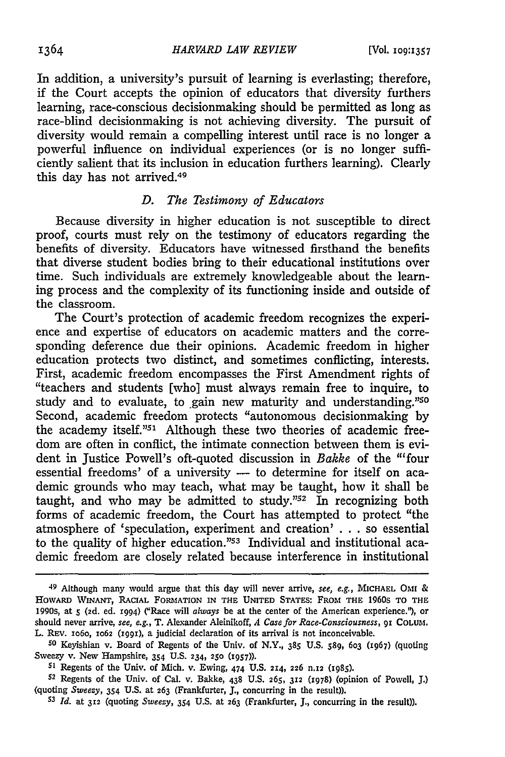In addition, a university's pursuit of learning is everlasting; therefore, if the Court accepts the opinion of educators that diversity furthers learning, race-conscious decisionmaking should be permitted as long as race-blind decisionmaking is not achieving diversity. The pursuit of diversity would remain a compelling interest until race is no longer a powerful influence on individual experiences (or is no longer sufficiently salient that its inclusion in education furthers learning). Clearly this day has not arrived.49

# *D. The Testimony of Educators*

Because diversity in higher education is not susceptible to direct proof, courts must rely on the testimony of educators regarding the benefits of diversity. Educators have witnessed firsthand the benefits that diverse student bodies bring to their educational institutions over time. Such individuals are extremely knowledgeable about the learning process and the complexity of its functioning inside and outside of the classroom.

The Court's protection of academic freedom recognizes the experience and expertise of educators on academic matters and the corresponding deference due their opinions. Academic freedom in higher education protects two distinct, and sometimes conflicting, interests. First, academic freedom encompasses the First Amendment rights of "teachers and students [who] must always remain free to inquire, to study and to evaluate, to \_gain new maturity and understanding. *"5°*  Second, academic freedom protects "autonomous decisionmaking by the academy itself."<sup>51</sup> Although these two theories of academic freedom are often in conflict, the intimate connection between them is evident in Justice Powell's oft-quoted discussion in *Bakke* of the '"four essential freedoms' of a university - to determine for itself on academic grounds who may teach, what may be taught, how it shall be taught, and who may be admitted to study." $52$  In recognizing both forms of academic freedom, the Court has attempted to protect "the atmosphere of 'speculation, experiment and creation' ... so essential to the quality of higher education."53 Individual and institutional academic freedom are closely related because interference in institutional

<sup>49</sup> Although many would argue that this day will never arrive, *see, e.g.,* MICHAEL OMI & HOWARD \VINANT, RACIAL FORMATION IN THE UNITED STATES: FROM THE 19605 TO THE 1990s, at 5 (2d. ed. 1994) {"Race will *always* be at the center of the American experience.'?, or should never arrive, *see, e.g.,* T. Alexander Aleinikoff, *A Case for Race-Consciousness,* 91 COLUM. L. REv. I06o, 1062 (I99I), a judicial declaration of its arrival is not inconceivable.

*so* Keyishian v. Board of Regents of the Univ. of N.Y., 385 U.S. 589, 603 (1967) (quoting Sweezy v. New Hampshire, 354 U.S. 234, 250 (I957)).

<sup>51</sup> Regents of the Univ. of Mich. v. Ewing, 474 U.S. 214, 226 n.12 (1985).

*<sup>5</sup>2* Regents of the Univ. of Cal. v. Bakke, 438 U.S. 265, 312 (1978) (opinion of Powell, J.) (quoting *Sweezy,* 354 U.S. at 263 (Frankfurter, J., concurring in the result)).

*<sup>53 /</sup>d.* at 312 (quoting *Sweezy,* 354 U.S. at 263 (Frankfurter, J., concurring in the result)).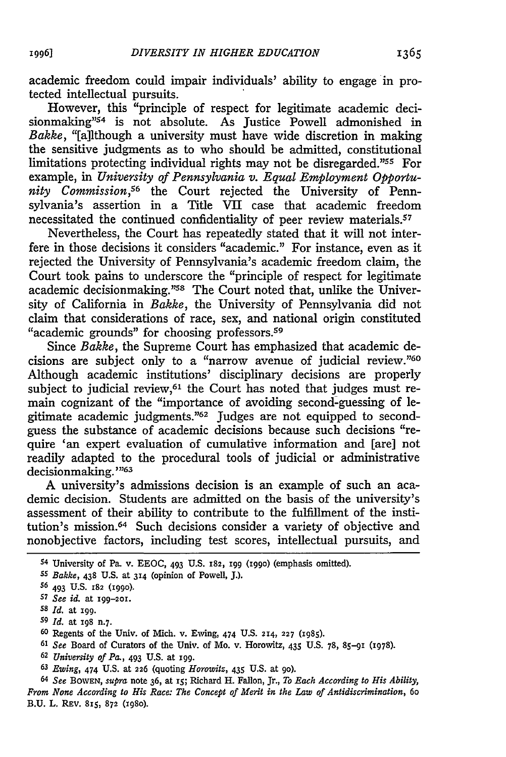academic freedom could impair individuals' ability to engage in protected intellectual pursuits.

However, this "principle of respect for legitimate academic decisionmaking<sup>"54</sup> is not absolute. As Justice Powell admonished in *Bakke,* "[a]lthough a university must have wide discretion in making the sensitive judgments as to who should be admitted, constitutional limitations protecting individual rights may not be disregarded."<sup>55</sup> For example, in *University of Pennsylvania v. Equal Employment Opportunity Commission,56* the Court rejected the University of Pennsylvania's assertion in a Title VII case that academic freedom necessitated the continued confidentiality of peer review materials.<sup>57</sup>

Nevertheless, the Court has repeatedly stated that it will not interfere in those decisions it considers "academic." For instance, even as it rejected the University of Pennsylvania's academic freedom claim, the Court took pains to underscore the "principle of respect for legitimate academic decisionmaking."58 The Court noted that, unlike the University of California in *Bakke,* the University of Pennsylvania did not claim that considerations of race, sex, and national origin constituted "academic grounds" for choosing professors. *<sup>59</sup>*

Since *Bakke,* the Supreme Court has emphasized that academic decisions are subject only to a "narrow avenue of judicial review."60 Although academic institutions' disciplinary decisions are properly subject to judicial review, $61$  the Court has noted that judges must remain cognizant of the "importance of avoiding second-guessing of legitimate academic judgments."62 Judges are not equipped to secondguess the substance of academic decisions because such decisions "require 'an expert evaluation of cumulative information and [are] not readily adapted to the procedural tools of judicial or administrative decisionmaking. '"63

A university's admissions decision is an example of such an academic decision. Students are admitted on the basis of the university's assessment of their ability to contribute to the fulfillment of the institution's mission.64 Such decisions consider a variety of objective and nonobjective factors, including test scores, intellectual pursuits, and

59 *Id.* at 198 n.7.

- 61 *See* Board of Curators of the Univ. of Mo. v. Horowitz, 435 U.S. 78, 85-91 (1978).
- <sup>62</sup>*University of Pa.,* 493 U.S. at rgg.
- 63 *Ewing,* 474 U.S. at 226 (quoting *Horowitz,* 435 U.S. at go).

<sup>64</sup>*See* BOWEN, *supra* note 36, at 15; Richard H. Fallon, Jr., *To Each According to His Ability, From None According to His Race: The Concept of Merit in the Law of Antidiscrimination,* 6o B.U. L. REv. 815, 872 (1980).

<sup>54</sup> University of Pa. v. EEOC, 493 U.S. 182, 199 (1990) (emphasis omitted).

*<sup>55</sup> Bakke,* 438 U.S. at 314 (opinion of Powell, J.).

<sup>56 493</sup> U.S. 182 (1990).

<sup>57</sup>*See id.* at 199-201.

*<sup>58</sup> Id.* at 199.

<sup>60</sup> Regents of the Univ. of Mich. v. Ewing, 474 U.S. 214, 227 (1985).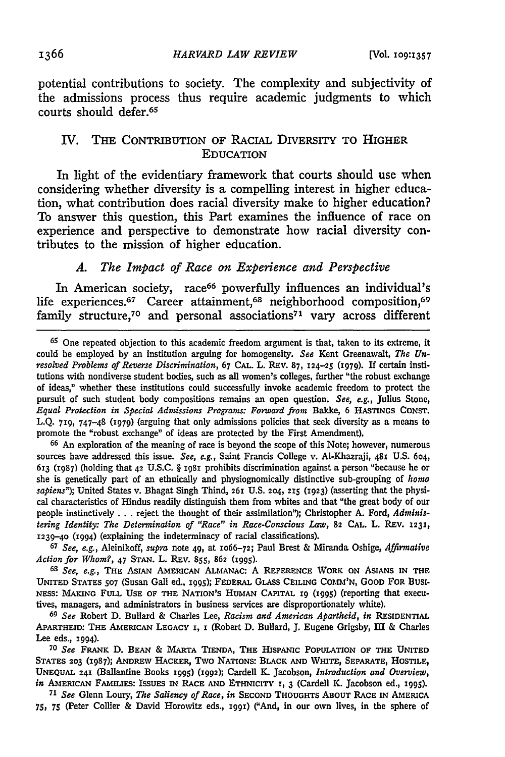potential contributions to society. The complexity and subjectivity of the admissions process thus require academic judgments to which courts should defer.6s

#### IV. THE CONTRIBUTION OF RAciAL DIVERSITY TO HIGHER EDUCATION

In light of the evidentiary framework that courts should use when considering whether diversity is a compelling interest in higher education, what contribution does racial diversity make to higher education? To answer this question, this Part examines the influence of race on experience and perspective to demonstrate how racial diversity contributes to the mission of higher education.

# *A. The Impact of Race on Experience and Perspective*

In American society, race<sup>66</sup> powerfully influences an individual's life experiences.<sup>67</sup> Career attainment,<sup>68</sup> neighborhood composition,<sup>69</sup> family structure,<sup>70</sup> and personal associations<sup>71</sup> vary across different

66 An exploration of the meaning of race is beyond the scope of this Note; however, numerous sources have addressed this issue. *See, e.g.,* Saint Francis College v. Al-Khazraji, 481 U.S. 604, 613 (1987) (holding that 42 U.S.C. § 1981 prohibits discrimination against a person "because he or she is genetically part of an ethnically and physiognomically distinctive sub-grouping of *homo sapiens");* United States v. Bhagat Singh Thind, 261 U.S. 204, 215 (1923) (asserting that the physical characteristics of Hindus readily distinguish them from whites and that "the great body of our people instinctively ... reject the thought of their assimilation"); Christopher A. Ford, *Administering Identity: The Determination of "Race" in Race-Conscious Law,* 82 CAL. L. REv. 1231, 1239-40 (1994) (explaining the indeterminacy of racial classifications).

67 *See, e.g.,* Aleinikoff, *supra* note 49, at to66-72; Paul Brest & Miranda Oshige, *Affirmative Action for Whom?,* 47 STAN. L. REv. 855, 862 (1995).

68 *See, e.g.,* THE AsiAN AMERICAN ALMANAC: A REFERENCE WORK ON ASIANS IN THE UNITED STATES 507 (Susan Gall ed., 1995); FEDERAL GLASS CEILING COMM'N, GOOD FOR BUS!· NESS: MAKING FULL USE OF THE NATION'S HUMAN CAPITAL 19 (1995) (reporting that executives, managers, and administrators in business services are disproportionately white).

69 *See* Robert D. Bullard & Charles Lee, *Racism and American Apartheid, in* RESIDENTIAL APARTHEID: THE AMERICAN LEGACY I, I (Robert D. Bullard, J. Eugene Grigsby, III & Charles Lee eds., I994).

70 *See* FRANK D. BEAN & MARTA TIENDA, THE HISPANIC POPULATION OF THE UNITED STATES 203 (1987); ANDREW HACKER, TWO NATIONS: BLACK AND WHITE, SEPARATE, HOSTILE, UNEQUAL 24I (Ballantine Books 1995) (1992); Cardell K. Jacobson, *Introduction and Overview, in* AMERICAN FAMILIES: ISSUES IN RACE AND ETHNICITY I, 3 (Cardell K. Jacobson ed., 1995).

<sup>71</sup>*See* Glenn Loury, *The Saliency of Race, in* SECOND THOUGHTS ABOUT RACE IN AMERICA 75, 75 (Peter Collier & David Horowitz eds., I991) ("And, in our own lives, in the sphere of

<sup>65</sup> One repeated objection to this academic freedom argument is that, taken to its extreme, it could be employed by an institution arguing for homogeneity. *See* Kent Greenawalt, *The Unresolved Problems of Reverse Discrimination,* 67 CAL. L. REv. 87, 124-25 (1979). If certain institutions with nondiverse student bodies, such as all women's colleges, further "the robust exchange of ideas," whether these institutions could successfully invoke academic freedom to protect the pursuit of such student body compositions remains an open question. *See, e.g.,* Julius Stone, *Equal Protection in Special Admissions Programs: Forward from* Bakke, 6 HASTINGS CaNST. L.Q. 719, 747-48 (1979) (arguing that only admissions policies that seek diversity as a means to promote the "robust exchange" of ideas are protected by the First Amendment).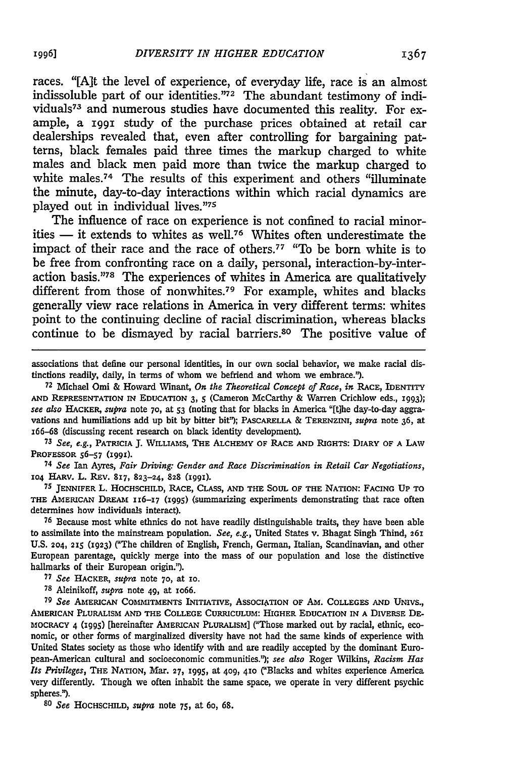races. "[A]t the level of experience, of everyday life, race is an almost indissoluble part of our identities."72 The abundant testimony of individuals73 and numerous studies have documented this reality. For example, a I99I study of the purchase prices obtained at retail car dealerships revealed that, even after controlling for bargaining patterns, black females paid three times the markup charged to white males and black men paid more than twice the markup charged to white males.74 The results of this experiment and others "illuminate the minute, day-to-day interactions within which racial dynamics are played out in individual lives."75

The influence of race on experience is not confined to racial minorities  $-$  it extends to whites as well.<sup>76</sup> Whites often underestimate the impact of their race and the race of others. 77 "To be born white is to be free from confronting race on a daily, personal, interaction-by-interaction basis."78 The experiences of whites in America are qualitatively different from those of nonwhites.<sup>79</sup> For example, whites and blacks generally view race relations in America in very different terms: whites point to the continuing decline of racial discrimination, whereas blacks continue to be dismayed by racial barriers.<sup>80</sup> The positive value of

associations that define our personal identities, in our own social behavior, we make racial distinctions readily, daily, in terms of whom we befriend and whom we embrace.").

72 Michael Omi & Howard Winant, *On the Theoretical Concept of Race, in* RAcE, IDENTITY AND REPRESENTATION IN EDUCATION 3, 5 (Cameron McCarthy & Warren Crichlow eds., 1993); *see also* HACKER, *supra* note 70, at 53 (noting that for blacks in America "[t]he day-to-day aggravations and humiliations add up bit by bitter bit''); PASCARELLA & TERENZINI, *supra* note 36, at 166-68 (discussing recent research on black identity development).

*73 See, e.g.,* PATRICIA J. WILLIAMS, THE ALCHEMY OF RACE AND RIGHTS: DIARY OF A LAW PROFESSOR 56-57 (1991).

74 *See* Ian Ayres, *Fair Driving: Gender and Race Discrimination in Retail Car Negotiations,*  104 HARV. L. REv. 817, 823-24, 828 (1991).

75 jENNIFER L. HOCHSCHILD, RACE, CLASS, AND THE SOUL OF THE NATION: FACING UP TO THE AMERICAN DREAM  $116-17$  (1995) (summarizing experiments demonstrating that race often determines how individuals interact).

76 Because most white ethnics do not have readily distinguishable traits, they have been able to assimilate into the mainstream population. *See, e.g.,* United States v. Bhagat Singh Thind, 261 U.S. 204, 215 (1923) ("The children of English, French, German, Italian, Scandinavian, and other European parentage, quickly merge into the mass of our population and lose the distinctive hallmarks of their European origin.").

<sup>77</sup>*See* HACKER, *supra* note 70, at 10.

78 Aleinikoff, *supra* note 49, at 1066.

<sup>79</sup> See AMERICAN COMMITMENTS INITIATIVE, ASSOCIATION OF AM. COLLEGES AND UNIVS., AMERICAN PLURALISM AND THE COLLEGE CURRICULUM: HIGHER EDUCATION IN A DIVERSE DE-MOCRACY 4 (1995) [hereinafter AMERICAN PLURALISM] ("Those marked out by racial, ethnic, economic, or other forms of marginalized diversity have not had the same kinds of experience with United States society as those who identify with and are readily accepted by the dominant European-American cultural and socioeconomic communities."); *see also* Roger Wilkins, *Racism Has Its Privileges,* THE NATION, Mar. 27, 1995, at 409, 410 ("Blacks and whites experience America very differently. Though we often inhabit the same space, we operate in very different psychic spheres.").

80 *See* HOCHSCHILD, *supra* note 75, at 6o, 68.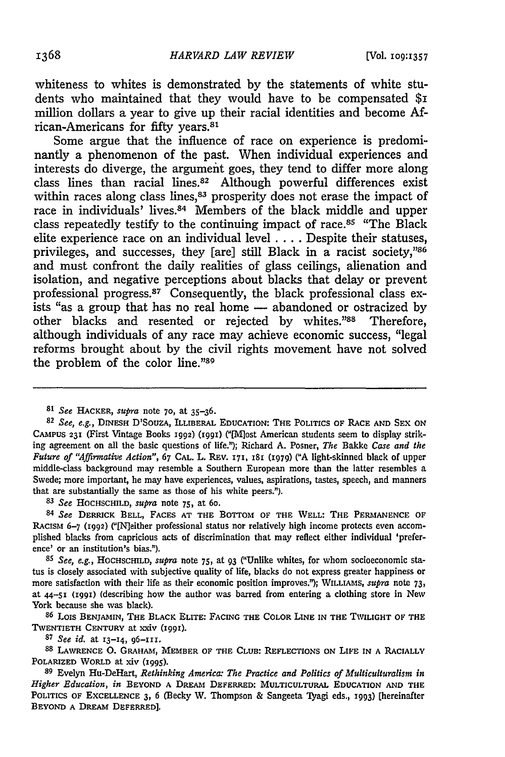whiteness to whites is demonstrated by the statements of white students who maintained that they would have to be compensated \$1 million dollars a year to give up their racial identities and become African-Americans for fifty years. 81

Some argue that the influence of race on experience is predominantly a phenomenon of the past. When individual experiences and interests do diverge, the argument goes, they tend to differ more along class lines than racial lines.82 Although powerful differences exist within races along class lines,<sup>83</sup> prosperity does not erase the impact of race in individuals' lives.<sup>84</sup> Members of the black middle and upper class repeatedly testify to the continuing impact of race.<sup>85</sup> "The Black elite experience race on an individual level  $\ldots$ . Despite their statuses, privileges, and successes, they [are] still Black in a racist society,"86 and must confront the daily realities of glass ceilings, alienation and isolation, and negative perceptions about blacks that delay or prevent professional progress.87 Consequently, the black professional class exists "as a group that has no real home - abandoned or ostracized by other blacks and resented or rejected by whites."88 Therefore, although individuals of any race may achieve economic success, "legal reforms brought about by the civil rights movement have not solved the problem of the color line."89

83 See HOCHSCHILD, *supra* note 75, at 60.

84 *See* DERRICK BELL, FACES AT THE BOTTOM OF THE WELL: THE PERMANENCE OF RACISM 6-7 (1992) ("[N]either professional status nor relatively high income protects even accomplished blacks from capricious acts of discrimination that may reflect either individual 'preference' or an institution's bias.").

85 *See, e.g.,* HocHSCHILD, *supra* note 75, at 93 ("Unlike whites, for whom socioeconomic status is closely associated with subjective quality of life, blacks do not express greater happiness or more satisfaction with their life as their economic position improves."); WILLIAMS, *supra* note 73<sup>1</sup> at 44-51 (1991) (describing how the author was barred from entering a clothing store in New York because she was black).

86 LOIS BENJAMIN, THE BLACK ELITE: FACING THE COLOR LINE IN THE TWILIGHT OF THE TWENTIETH CENTURY at xxiv (1991).

87 *See id.* at 13-14, 96-1n.

88 LAWRENCE 0. GRAHAM, MEMBER OF THE CLUB: REFLECTIONS ON LIFE IN A RACIALLY POLARIZED WORLD at xiv (1995).

89 Evelyn Hu-DeHart, *Rethinking America: The Practice and Politics of Multiculturalism in Higher Education, in* BEYOND A DREAM DEFERRED: MULTICULTURAL EDUCATION AND THE POLITICS OF EXCELLENCE 3, 6 (Becky W. Thompson & Sangeeta Tyagi eds., 1993) [hereinafter BEYOND A DREAM DEFERRED].

<sup>81</sup> *See* HACKER, *supra* note 70, at 35-36.

<sup>82</sup> *See, e.g.,* DINESH D'SOUZA, ILLIBERAL EDUCATION: THE POLITICS OF RACE AND SEX ON CAMPUS 231 (First Vintage Books 1992) (1991) ("[M]ost American students seem to display striking agreement on all the basic questions of life.'?; Richard A. Posner, *The* Bakke *Case and the Future of "Affirmative Action",* 67 CAL. L. REv. 171, 181 (1979) ("A light-skinned black of upper middle-class background may resemble a Southern European more than the latter resembles a Swede; more important, he may have experiences, values, aspirations, tastes, speech, and manners that are substantially the same as those of his white peers.").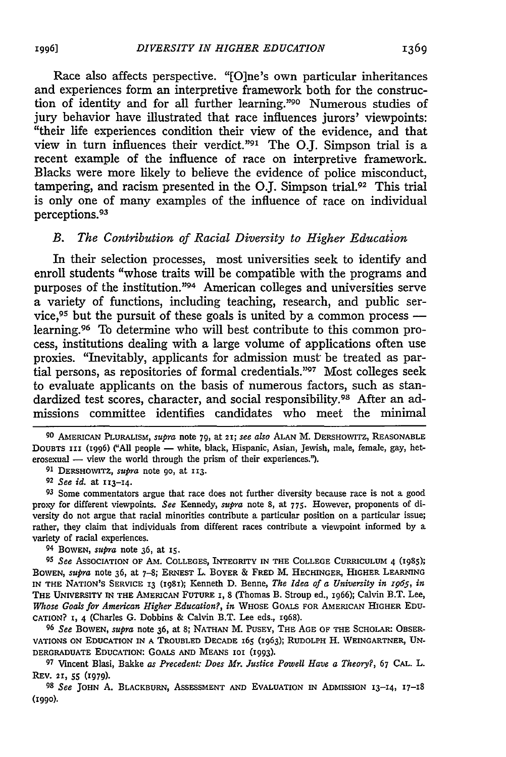Race also affects perspective. "[O]ne's own particular inheritances and experiences form an interpretive framework both for the construction of identity and for all further learning."<sup>90</sup> Numerous studies of jury behavior have illustrated that race influences jurors' viewpoints: "their life experiences condition their view of the evidence, and that view in turn influences their verdict."91 The O.J. Simpson trial is a recent example of the influence of race on interpretive framework. Blacks were more likely to believe the evidence of police misconduct, tampering, and racism presented in the O.J. Simpson trial.92 This trial is only one of many examples of the influence of race on individual perceptions. 93

#### *B. The Contribution of Racial Diversity to Higher Education*

In their selection processes, most universities seek to identify and enroll students "whose traits will be compatible with the programs and purposes of the institution."94 American colleges and universities serve a variety of functions, including teaching, research, and public service,<sup>95</sup> but the pursuit of these goals is united by a common process  $$ learning. 96 To determine who will best contribute to this common process, institutions dealing with a large volume of applications often use proxies. "Inevitably, applicants for admission must be treated as partial persons, as repositories of formal credentials."97 Most colleges seek to evaluate applicants on the basis of numerous factors, such as standardized test scores, character, and social responsibility.<sup>98</sup> After an admissions committee identifies candidates who meet the minimal

91 DERSHOWITZ, *supra* note 90, at II3.

<sup>92</sup>*See id.* at II3-14.

*93* Some commentators argue that race does not further diversity because race is not a good proxy for different viewpoints. *See* Kennedy, *supra* note 8, at 775. However, proponents of diversity do not argue that racial minorities contribute a particular position on a particular issue; rather, they claim that individuals from different races contribute a viewpoint informed by a variety of racial experiences.

94 BOWEN, *supra* note 36, at 15.

95 *See* ASSOCIATION OF AM. COLLEGES, INTEGRITY IN THE COLLEGE CURRICULUM 4 (1985); BOWEN, *supra* note 36, at 7-8; ERNEST L. BOYER & FRED M. HECHINGER, HIGHER LEARNING IN THE NATION'S SERVICE 13 {I98I)j Kenneth D. Benne, *The Idea of a University in I965, in*  THE UNIVERSITY IN THE AMERICAN FUTURE I, 8 (Thomas B. Stroup ed., I966); Calvin B.T. Lee, *Whose Goals for American Higher Education?, in* WHOSE GOALS FOR AMERICAN HIGHER EDU-CATION? I, 4 (Charles G. Dobbins & Calvin B.T. Lee eds., I968).

96 *See* BOWEN, *supra* note 36, at 8; NATHAN M. PuSEY, THE AGE OF THE SCHOLAR: OBSER-VATIONS ON EDUCATION IN A TROUBLED DECADE I65 (I963); RUDOLPH H. WEINGARTNER, UN-DERGRADUATE EDUCATION: GOALS AND MEANS IOI (I993).

97 Vincent Blasi, Bakke *as Precedent: Does Mr. Justice Powell Have a Theory?,* 67 CAL. L. REv. 21, 55 (1979).

98 *See* JOHN A. BLACKBURN, AsSESSMENT AND EVALUATION IN ADMISSION 13-I4, I7-18 (I990).

1996]

<sup>90</sup> AMERICAN PLURALISM, *supra* note 79, at 21j *see also* ALAN M. DERSHOWITZ, REASONABLE DOUBTS III (1996) ("All people - white, black, Hispanic, Asian, Jewish, male, female, gay, heterosexual  $-$  view the world through the prism of their experiences.").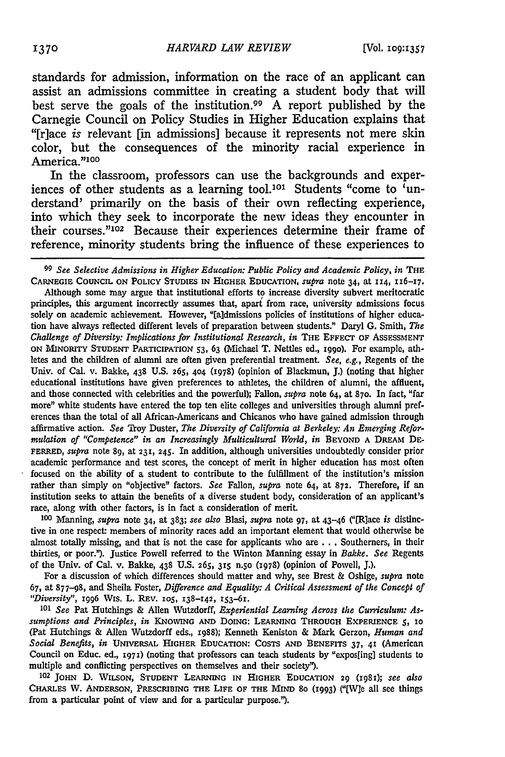standards for admission, information on the race of an applicant can assist an admissions committee in creating a student body that will best serve the goals of the institution. 99 A report published by the Carnegie Council on Policy Studies in Higher Education explains that "[r]ace *is* relevant [in admissions] because it represents not mere skin color, but the consequences of the minority racial experience in America."100

In the classroom, professors can use the backgrounds and experiences of other students as a learning tool.101 Students "come to 'understand' primarily on the basis of their own reflecting experience, into which they seek to incorporate the new ideas they encounter in their courses."102 Because their experiences determine their frame of reference, minority students bring the influence of these experiences to

Although some may argue that institutional efforts to increase diversity subvert meritocratic principles, this argument incorrectly assumes that, apart from race, university admissions focus solely on academic achievement. However, "[a]dmissions policies of institutions of higher education have always reflected different levels of preparation between students." Daryl G. Smith, *The*  Challenge of Diversity: Implications for Institutional Research, in THE EFFECT OF ASSESSMENT ON MINORITY STUDENT PARTICIPATION 53, 63 (Michael T. Nettles ed., 1990). For example, athletes and the children of alumni are often given preferential treatment. See, e.g., Regents of the Univ. of Cal. v. Bakke, 438 U.S. 265, 404 (1978) (opinion of Blackmun, J.) (noting that higher educational institutions have given preferences to athletes, the children of alumni, the affluent, and those connected with celebrities and the powerful); Fallon, *supra* note 64, at 870. In fact, "fax more" white students have entered the top ten elite colleges and universities through alumni pref· erences than the total of all African-Americans and Chicanos who have gained admission through affirmative action. *See* 'froy Duster, *The Diversity of California at Berkeley: An Emerging Reformulation of "Competence" in an Increasingly Multicultural World, in* BEYOND A DREAM DE-FERRED, *supra* note 89, at 231, 245. In addition, although universities undoubtedly consider prior academic performance and test scores, the concept of merit in higher education has most often focused on the ability of a student to contribute to the fulfillment of the institution's mission rather than simply on "objective" factors. *See* Fallon, *supra* note 64, at 872. Therefore, if an institution seeks to attain the benefits of a diverse student body, consideration of an applicant's race, along with other factors, is in fact a consideration of merit.

100 Manning, *supra* note 34, at 383; *see also* Blasi, *supra* note 97 <sup>1</sup>at 43-46 ("[R]ace *is* distinctive in one respect members of minority races add an important element that would otherwise be almost totally missing, and that is not the case for applicants who are  $\dots$  Southerners, in their thirties, or poor."). Justice Powell referred to the \Vinton Manning essay in *Bakke. See* Regents of the Univ. of Cal. v. Bakke, 438 U.S. 265, 315 n.so (1978) (opinion of Powell, J.).

For a discussion of which differences should matter and why, see Brest & Oshige, *supra* note 67, at 877-98, and Sheila Foster, *Difference and Equality: A Critical Assessment of the Concept of "Diversity",* 1996 WIS. L. REv. 105, 138-142, 153-61.

<sup>101</sup> See Pat Hutchings & Allen Wutzdorff, *Experiential Learning Across the Curriculum: As*sumptions and Principles, in KNOWING AND DOING: LEARNING THROUGH EXPERIENCE 5, 10 (Pat Hutchings & Allen Wutzdorff eds., 1988); Kenneth Keniston & Mark Gerzon, *Human and* Social Benefits, in UNIVERSAL HIGHER EDUCATION: COSTS AND BENEFITS 37, 41 (American Council on Educ. ed., 1971) (noting that professors can teach students by "expos[ing] students to multiple and conflicting perspectives on themselves and their society").

102 JOHN D. WILSON, STUDENT LEARNING IN HIGHER EDUCATION 29 (1981); *see also*  CHARLES W. ANDERSON, PRESCRIBING THE LIFE OF THE MIND So (1993) ("[W]e all see things from a particular point of view and for a particular purpose.").

<sup>&</sup>lt;sup>99</sup> See Selective Admissions in Higher Education: Public Policy and Academic Policy, in THE CARNEGIE COUNCIL ON POLICY STUDIES IN HIGHER EDUCATION, *supra* note 34, at 114, 116-17.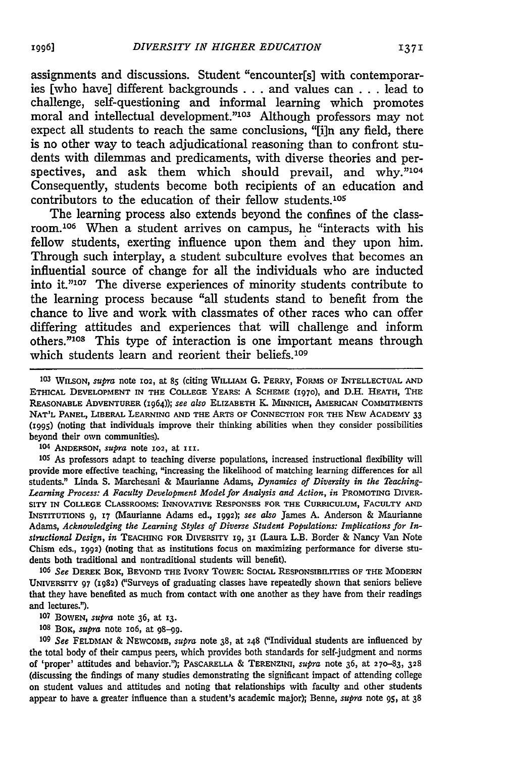assignments and discussions. Student "encounter[s] with contemporaries [who have] different backgrounds ... and values can ... lead to challenge, self-questioning and informal learning which promotes moral and intellectual development."103 Although professors may not expect all students to reach the same conclusions, "[i]n any field, there is no other way to teach adjudicational reasoning than to confront students with dilemmas and predicaments, with diverse theories and perspectives, and ask them which should prevail, and why."104 Consequently, students become both recipients of an education and contributors to the education of their fellow students.10s

The learning process also extends beyond the confines of the classroom.106 When a student arrives on campus, he "interacts with his fellow students, exerting influence upon them and they upon him. Through such interplay, a student subculture evolves that becomes an influential source of change for all the individuals who are inducted into it."<sup>107</sup> The diverse experiences of minority students contribute to the learning process because "all students stand to benefit from the chance to live and work with classmates of other races who can offer differing attitudes and experiences that will challenge and inform others."108 This type of interaction is one important means through which students learn and reorient their beliefs.<sup>109</sup>

103 WILSON, *supra* note 102 <sup>1</sup>at 85 (citing WILLIAM G. PERRY, FORMS OF INTELLECTUAL AND ETHICAL DEVELOPMENT IN THE COLLEGE YEARS: A SCHEME (1970), and D.H. HEATH, THE REASONABLE ADVENTURER (1964)); *see also* ELIZABETH K. MINNICH, AMERICAN COMMITMENTS NAT<sup>1</sup> L PANEL, LIBERAL LEARNING AND THE ARTS OF CONNECTION FOR THE NEW ACADEMY 33 (1995) (noting that individuals improve their thinking abilities when they consider possibilities beyond their own communities).

104 ANDERSON, *supra* note 102, at III.

lOS As professors adapt to teaching diverse populations, increased instructional flexibility will provide more effective teaching, "increasing the likelihood of matching learning differences for all students." Linda S. Marchesani & Maurianne Adams, *Dynamics of Diversity in the Teaching-*Learning Process: A Faculty Development Model for Analysis and Action, in PROMOTING DIVER-SITY IN COLLEGE CLASSROOMS: INNOVATIVE RESPONSES FOR THE CURRICULUM, FACULTY AND INSTITUTIONS 9, 17 (Maurianne Adams ed., 1992); *see also* James A. Anderson & Maurianne Adams, *Acknowledging the Learning Styles of Diverse Student Populations: Implications for Instructional Design, in* TEACHING FOR DIVERSITY 19, 31 (Laura L.B. Border & Nancy Van Note Chism eds., 1992) (noting that as institutions focus on maximizing performance for diverse students both traditional and nontraditional students will benefit).

106 *See* DEREK BOK, BEYOND THE IVORY TOWER: SOCIAL RESPONSIBILITIES OF THE MODERN UNIVERSITY 97 (1982) ("Surveys of graduating classes have repeatedly shown that seniors believe that they have benefited as much from contact with one another as they have from their readings and lectures.").

108 BoK, *supra* note 106, at 98--99.

109 *See* FELDMAN & NEWCOMB, *supra* note 38, at 248 C'Individual students are influenced by the total body of their campus peers, which provides both standards for self-judgment and norms of 'proper' attitudes and behavior."); PASCARELLA & TERENZINI, *supra* note 36, at 270–83, 328 (discussing the findings of many studies demonstrating the significant impact of attending college on student values and attitudes and noting that relationships with faculty and other students appear to have a greater influence than a student's academic major); Benne, *supra* note 95, at 38

<sup>107</sup> BOWEN, *supra* note 36, at 13.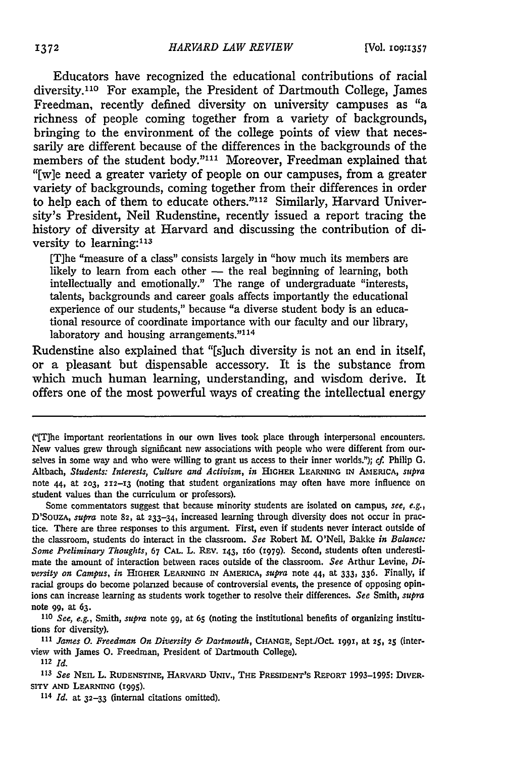Educators have recognized the educational contributions of racial diversity.<sup>110</sup> For example, the President of Dartmouth College, James Freedman, recently defined diversity on university campuses as "a richness of people coming together from a variety of backgrounds, bringing to the environment of the college points of view that necessarily are different because of the differences in the backgrounds of the members of the student body."111 Moreover, Freedman explained that "[ w ]e need a greater variety of people on our campuses, from a greater variety of backgrounds, coming together from their differences in order to help each of them to educate others."112 Similarly, Harvard University's President, Neil Rudenstine, recently issued a report tracing the history of diversity at Harvard and discussing the contribution of diversity to learning: $113$ 

[T]he "measure of a class" consists largely in "how much its members are likely to learn from each other - the real beginning of learning, both intellectually and emotionally." The range of undergraduate "interests, talents, backgrounds and career goals affects importantly the educational experience of our students," because "a diverse student body is an educational resource of coordinate importance with our faculty and our library, laboratory and housing arrangements."<sup>114</sup>

Rudenstine also explained that "[s]uch diversity is not an end in itself, or a pleasant but dispensable accessory. It is the substance from which much human learning, understanding, and wisdom derive. It offers one of the most powerful ways of creating the intellectual energy

<sup>(&</sup>quot;[T]he important reorientations in our own lives took place through interpersonal encounters. New values grew through significant new associations with people who were different from ourselves in some way and who were willing to grant us access to their inner worlds."}; *cf.* Philip G. Altbach, *Students: Interests, Culture and Activism, in* HIGHER LEARNING IN AMERICA, *supra*  note 44, at 203, 212-13 (noting that student organizations may often have more influence on student values than the curriculum or professors).

Some commentators suggest that because minority students are isolated on campus, *see, e.g.,*  D'SouzA, *supra* note 82, at 233-34, increased learning through diversity does not occur in practice. There are three responses to this argument. First, even if students never interact outside of the classroom, students do interact in the classroom. *See* Robert M. O'Neil, Bakke *in Balance: Some Preliminary Thoughts,* 67 CAL. L. REv. 143, 160 (1979). Second, students often underestimate the amount of interaction between races outside of the classroom. *See* Arthur Levine, *Diversity on Campus, in* HiGHER LEARNING IN AMERICA, *supra* note 44, at 333, 336. Finally, if racial groups do become polanzed because of controversial events, the presence of opposing opinions can increase learning as students work together to resolve their differences. *See* Smith, *supra*  note 99, at 63.

uo *See, e.g.,* Smith, *supra* note 99, at 65 (noting the institutional benefits of organizing institutions for diversity).

<sup>111</sup> *James 0. Freedman On Diversity* & *Dartmouth,* CHANGE, SeptJOct. 1991, at 25, 25 (interview with James 0. Freedman, President of Dartmouth College).

<sup>112</sup> *ld.* 

<sup>113</sup> *See* NEILL. RUDENSTINE, HARVARD UNIV., THE PRESIDENT'S REPORT 1993-1995: DlVER· SITY AND LEARNING (1995).

<sup>114</sup> *ld.* at 32-33 (internal citations omitted).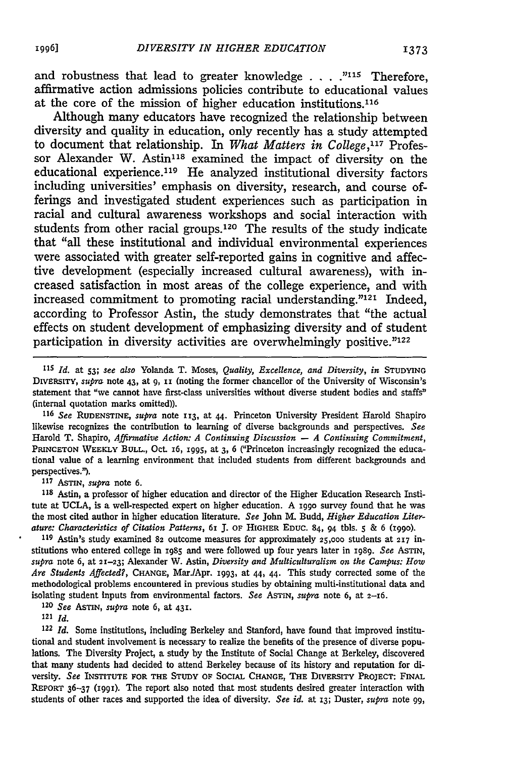and robustness that lead to greater knowledge  $\ldots$  . . . . "115 Therefore, affirmative action admissions policies contribute to educational values at the core of the mission of higher education institutions.116

Although many educators have recognized the relationship between diversity and quality in education, only recently has a study attempted to document that relationship. In *What Matters in College,*117 Professor Alexander W. Astin<sup>118</sup> examined the impact of diversity on the educational experience.119 He analyzed institutional diversity factors including universities' emphasis on diversity, research, and course offerings and investigated student experiences such as participation in racial and cultural awareness workshops and social interaction with students from other racial groups.120 The results of the study indicate that "all these institutional and individual environmental experiences were associated with greater self-reported gains in cognitive and affective development (especially increased cultural awareness), with increased satisfaction in most areas of the college experience, and with increased commitment to promoting racial understanding."121 Indeed, according to Professor Astin, the study demonstrates that "the actual effects on student development of emphasizing diversity and of student participation in diversity activities are overwhelmingly positive."122

<sup>116</sup> See RUDENSTINE, *supra* note 113, at 44. Princeton University President Harold Shapiro likewise recognizes the contribution to learning of diverse backgrounds and perspectives. *See*  Harold T. Shapiro, *Affirmative Action: A Continuing Discussion* - *A Continuing Commitment,*  PRINCETON WEEKLY BULL., Oct. 16, 1995, at 3, 6 ("Princeton increasingly recognized the educational value of a learning environment that included students from different backgrounds and perspectives.").

117 AsTIN, *supra* note 6.

118 Astin, a professor of higher education and director of the Higher Education Research Institute at UCLA, is a well-respected expert on higher education. A 1990 survey found that he was the most cited author in higher education literature. *See* John M. Budd, *Higher Education Literature: Characteristics of Citation Patterns,* 61 J. OF HIGHER Eouc. 84, 94 tbls. s & 6 (1990).

119 Astin's study examined 82 outcome measures for approximately 25,ooo students at 217 institutions who entered college in 1985 and were followed up four years later in 1989. *See* AsTIN, *supra* note 6, at 21-23; Alexander W. Astin, *Diversity and Multiculturalism on the Campus: How Are Students Affected?,* CHANGE, Mar.!Apr. 1993, at 44, 44· This study corrected some of the methodological problems encountered in previous studies by obtaining multi-institutional data and isolating student inputs from environmental factors. *See* ASTIN, *supra* note 6, at 2-16.

120 *See* AsTIN, *supra* note 6, at 431.

121 *Id.* 

122 *Id.* Some institutions, including Berkeley and Stanford, have found that improved institutional and student involvement is necessary to realize the benefits of the presence of diverse populations. The Diversity Project, a study by the Institute of Social Change at Berkeley, discovered that many students had decided to attend Berkeley because of its history and reputation for diversity. *See* INSTITUTE FOR THE STUDY OF SOCIAL CHANGE, THE DIVERSITY PROJECT: FINAL REPORT 36-37 (1991). The report also noted that most students desired greater interaction with students of other races and supported the idea of diversity. *See id.* at 13; Duster, *supra* note 99,

liS *Id.* at 53; *see also* Yolanda T. Moses, *Quality, Excellence, and Diversity, in* STUDYING DIVERSITY, *supra* note 43, at 9, 11 (noting the former chancellor of the University of Wisconsin's statement that "we cannot have first-class universities without diverse student bodies and staffs" (internal quotation marks omitted)).